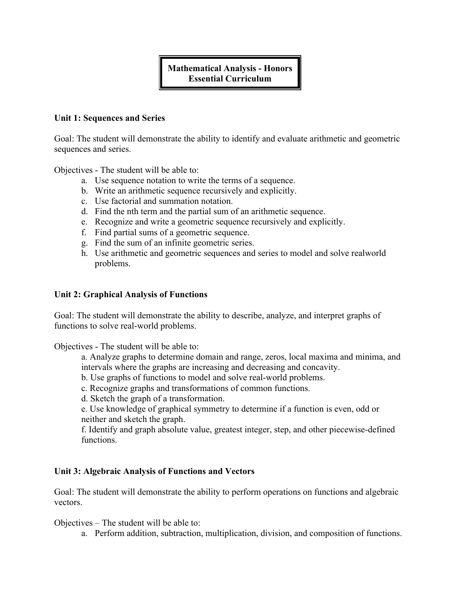# **Mathematical Analysis - Honors Essential Curriculum**

## **Unit 1: Sequences and Series**

Goal: The student will demonstrate the ability to identify and evaluate arithmetic and geometric sequences and series.

Objectives - The student will be able to:

- a. Use sequence notation to write the terms of a sequence.
- b. Write an arithmetic sequence recursively and explicitly.
- c. Use factorial and summation notation.
- d. Find the nth term and the partial sum of an arithmetic sequence.
- e. Recognize and write a geometric sequence recursively and explicitly.
- f. Find partial sums of a geometric sequence.
- g. Find the sum of an infinite geometric series.
- h. Use arithmetic and geometric sequences and series to model and solve realworld problems.

## **Unit 2: Graphical Analysis of Functions**

Goal: The student will demonstrate the ability to describe, analyze, and interpret graphs of functions to solve real-world problems.

Objectives - The student will be able to:

a. Analyze graphs to determine domain and range, zeros, local maxima and minima, and intervals where the graphs are increasing and decreasing and concavity.

b. Use graphs of functions to model and solve real-world problems.

c. Recognize graphs and transformations of common functions.

d. Sketch the graph of a transformation.

e. Use knowledge of graphical symmetry to determine if a function is even, odd or neither and sketch the graph.

f. Identify and graph absolute value, greatest integer, step, and other piecewise-defined functions.

## **Unit 3: Algebraic Analysis of Functions and Vectors**

Goal: The student will demonstrate the ability to perform operations on functions and algebraic vectors.

Objectives – The student will be able to:

a. Perform addition, subtraction, multiplication, division, and composition of functions.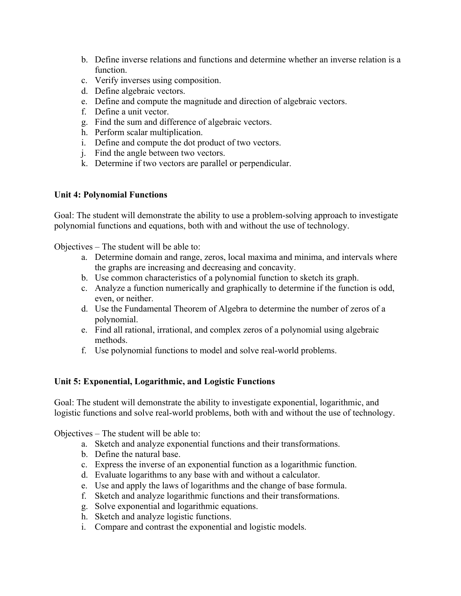- b. Define inverse relations and functions and determine whether an inverse relation is a function.
- c. Verify inverses using composition.
- d. Define algebraic vectors.
- e. Define and compute the magnitude and direction of algebraic vectors.
- f. Define a unit vector.
- g. Find the sum and difference of algebraic vectors.
- h. Perform scalar multiplication.
- i. Define and compute the dot product of two vectors.
- j. Find the angle between two vectors.
- k. Determine if two vectors are parallel or perpendicular.

## **Unit 4: Polynomial Functions**

Goal: The student will demonstrate the ability to use a problem-solving approach to investigate polynomial functions and equations, both with and without the use of technology.

Objectives – The student will be able to:

- a. Determine domain and range, zeros, local maxima and minima, and intervals where the graphs are increasing and decreasing and concavity.
- b. Use common characteristics of a polynomial function to sketch its graph.
- c. Analyze a function numerically and graphically to determine if the function is odd, even, or neither.
- d. Use the Fundamental Theorem of Algebra to determine the number of zeros of a polynomial.
- e. Find all rational, irrational, and complex zeros of a polynomial using algebraic methods.
- f. Use polynomial functions to model and solve real-world problems.

# **Unit 5: Exponential, Logarithmic, and Logistic Functions**

Goal: The student will demonstrate the ability to investigate exponential, logarithmic, and logistic functions and solve real-world problems, both with and without the use of technology.

Objectives – The student will be able to:

- a. Sketch and analyze exponential functions and their transformations.
- b. Define the natural base.
- c. Express the inverse of an exponential function as a logarithmic function.
- d. Evaluate logarithms to any base with and without a calculator.
- e. Use and apply the laws of logarithms and the change of base formula.
- f. Sketch and analyze logarithmic functions and their transformations.
- g. Solve exponential and logarithmic equations.
- h. Sketch and analyze logistic functions.
- i. Compare and contrast the exponential and logistic models.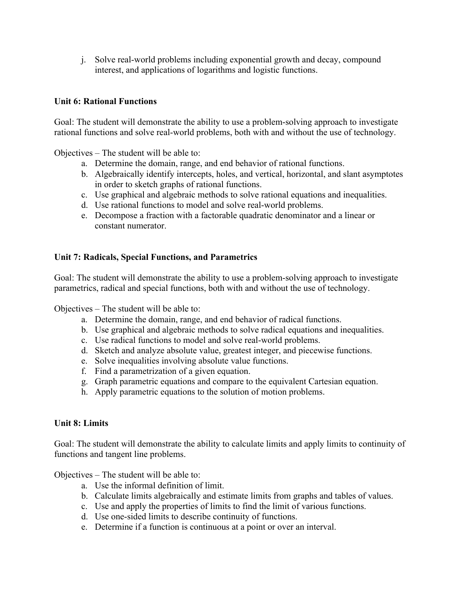j. Solve real-world problems including exponential growth and decay, compound interest, and applications of logarithms and logistic functions.

# **Unit 6: Rational Functions**

Goal: The student will demonstrate the ability to use a problem-solving approach to investigate rational functions and solve real-world problems, both with and without the use of technology.

Objectives – The student will be able to:

- a. Determine the domain, range, and end behavior of rational functions.
- b. Algebraically identify intercepts, holes, and vertical, horizontal, and slant asymptotes in order to sketch graphs of rational functions.
- c. Use graphical and algebraic methods to solve rational equations and inequalities.
- d. Use rational functions to model and solve real-world problems.
- e. Decompose a fraction with a factorable quadratic denominator and a linear or constant numerator.

# **Unit 7: Radicals, Special Functions, and Parametrics**

Goal: The student will demonstrate the ability to use a problem-solving approach to investigate parametrics, radical and special functions, both with and without the use of technology.

Objectives – The student will be able to:

- a. Determine the domain, range, and end behavior of radical functions.
- b. Use graphical and algebraic methods to solve radical equations and inequalities.
- c. Use radical functions to model and solve real-world problems.
- d. Sketch and analyze absolute value, greatest integer, and piecewise functions.
- e. Solve inequalities involving absolute value functions.
- f. Find a parametrization of a given equation.
- g. Graph parametric equations and compare to the equivalent Cartesian equation.
- h. Apply parametric equations to the solution of motion problems.

# **Unit 8: Limits**

Goal: The student will demonstrate the ability to calculate limits and apply limits to continuity of functions and tangent line problems.

Objectives – The student will be able to:

- a. Use the informal definition of limit.
- b. Calculate limits algebraically and estimate limits from graphs and tables of values.
- c. Use and apply the properties of limits to find the limit of various functions.
- d. Use one-sided limits to describe continuity of functions.
- e. Determine if a function is continuous at a point or over an interval.